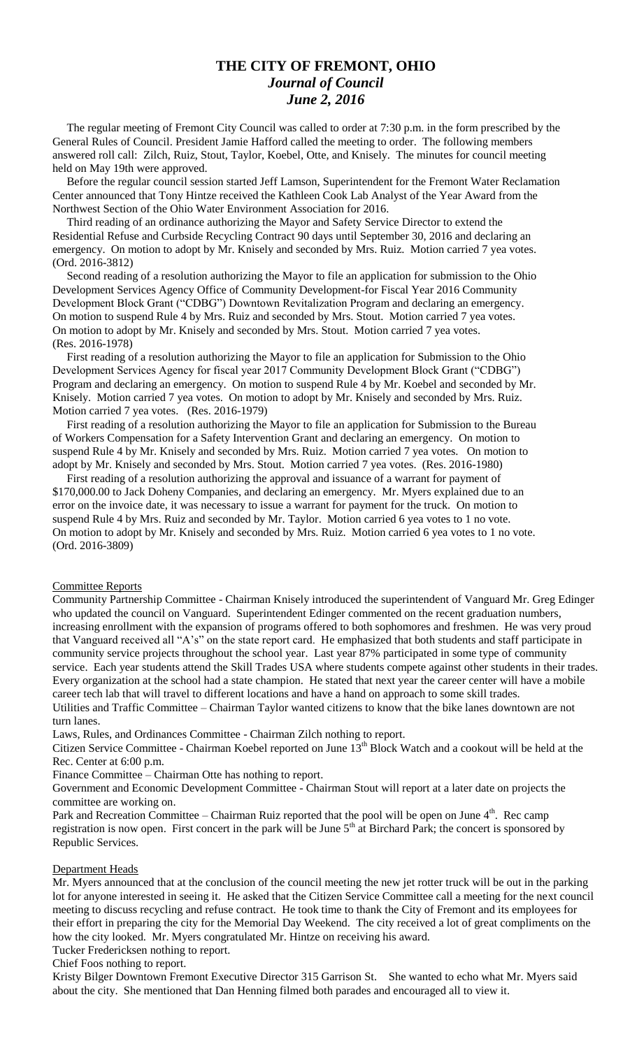## **THE CITY OF FREMONT, OHIO** *Journal of Council June 2, 2016*

 The regular meeting of Fremont City Council was called to order at 7:30 p.m. in the form prescribed by the General Rules of Council. President Jamie Hafford called the meeting to order. The following members answered roll call: Zilch, Ruiz, Stout, Taylor, Koebel, Otte, and Knisely. The minutes for council meeting held on May 19th were approved.

 Before the regular council session started Jeff Lamson, Superintendent for the Fremont Water Reclamation Center announced that Tony Hintze received the Kathleen Cook Lab Analyst of the Year Award from the Northwest Section of the Ohio Water Environment Association for 2016.

 Third reading of an ordinance authorizing the Mayor and Safety Service Director to extend the Residential Refuse and Curbside Recycling Contract 90 days until September 30, 2016 and declaring an emergency. On motion to adopt by Mr. Knisely and seconded by Mrs. Ruiz. Motion carried 7 yea votes. (Ord. 2016-3812)

 Second reading of a resolution authorizing the Mayor to file an application for submission to the Ohio Development Services Agency Office of Community Development-for Fiscal Year 2016 Community Development Block Grant ("CDBG") Downtown Revitalization Program and declaring an emergency. On motion to suspend Rule 4 by Mrs. Ruiz and seconded by Mrs. Stout. Motion carried 7 yea votes. On motion to adopt by Mr. Knisely and seconded by Mrs. Stout. Motion carried 7 yea votes. (Res. 2016-1978)

 First reading of a resolution authorizing the Mayor to file an application for Submission to the Ohio Development Services Agency for fiscal year 2017 Community Development Block Grant ("CDBG") Program and declaring an emergency. On motion to suspend Rule 4 by Mr. Koebel and seconded by Mr. Knisely. Motion carried 7 yea votes. On motion to adopt by Mr. Knisely and seconded by Mrs. Ruiz. Motion carried 7 yea votes. (Res. 2016-1979)

 First reading of a resolution authorizing the Mayor to file an application for Submission to the Bureau of Workers Compensation for a Safety Intervention Grant and declaring an emergency. On motion to suspend Rule 4 by Mr. Knisely and seconded by Mrs. Ruiz. Motion carried 7 yea votes. On motion to adopt by Mr. Knisely and seconded by Mrs. Stout. Motion carried 7 yea votes. (Res. 2016-1980)

 First reading of a resolution authorizing the approval and issuance of a warrant for payment of \$170,000.00 to Jack Doheny Companies, and declaring an emergency. Mr. Myers explained due to an error on the invoice date, it was necessary to issue a warrant for payment for the truck. On motion to suspend Rule 4 by Mrs. Ruiz and seconded by Mr. Taylor. Motion carried 6 yea votes to 1 no vote. On motion to adopt by Mr. Knisely and seconded by Mrs. Ruiz. Motion carried 6 yea votes to 1 no vote. (Ord. 2016-3809)

### Committee Reports

Community Partnership Committee - Chairman Knisely introduced the superintendent of Vanguard Mr. Greg Edinger who updated the council on Vanguard. Superintendent Edinger commented on the recent graduation numbers, increasing enrollment with the expansion of programs offered to both sophomores and freshmen. He was very proud that Vanguard received all "A's" on the state report card. He emphasized that both students and staff participate in community service projects throughout the school year. Last year 87% participated in some type of community service. Each year students attend the Skill Trades USA where students compete against other students in their trades. Every organization at the school had a state champion. He stated that next year the career center will have a mobile career tech lab that will travel to different locations and have a hand on approach to some skill trades. Utilities and Traffic Committee – Chairman Taylor wanted citizens to know that the bike lanes downtown are not turn lanes.

Laws, Rules, and Ordinances Committee - Chairman Zilch nothing to report.

Citizen Service Committee - Chairman Koebel reported on June 13<sup>th</sup> Block Watch and a cookout will be held at the Rec. Center at 6:00 p.m.

Finance Committee – Chairman Otte has nothing to report.

Government and Economic Development Committee - Chairman Stout will report at a later date on projects the committee are working on.

Park and Recreation Committee – Chairman Ruiz reported that the pool will be open on June  $4<sup>th</sup>$ . Rec camp registration is now open. First concert in the park will be June  $5<sup>th</sup>$  at Birchard Park; the concert is sponsored by Republic Services.

#### Department Heads

Mr. Myers announced that at the conclusion of the council meeting the new jet rotter truck will be out in the parking lot for anyone interested in seeing it. He asked that the Citizen Service Committee call a meeting for the next council meeting to discuss recycling and refuse contract. He took time to thank the City of Fremont and its employees for their effort in preparing the city for the Memorial Day Weekend. The city received a lot of great compliments on the how the city looked. Mr. Myers congratulated Mr. Hintze on receiving his award.

Tucker Fredericksen nothing to report.

Chief Foos nothing to report.

Kristy Bilger Downtown Fremont Executive Director 315 Garrison St. She wanted to echo what Mr. Myers said about the city. She mentioned that Dan Henning filmed both parades and encouraged all to view it.